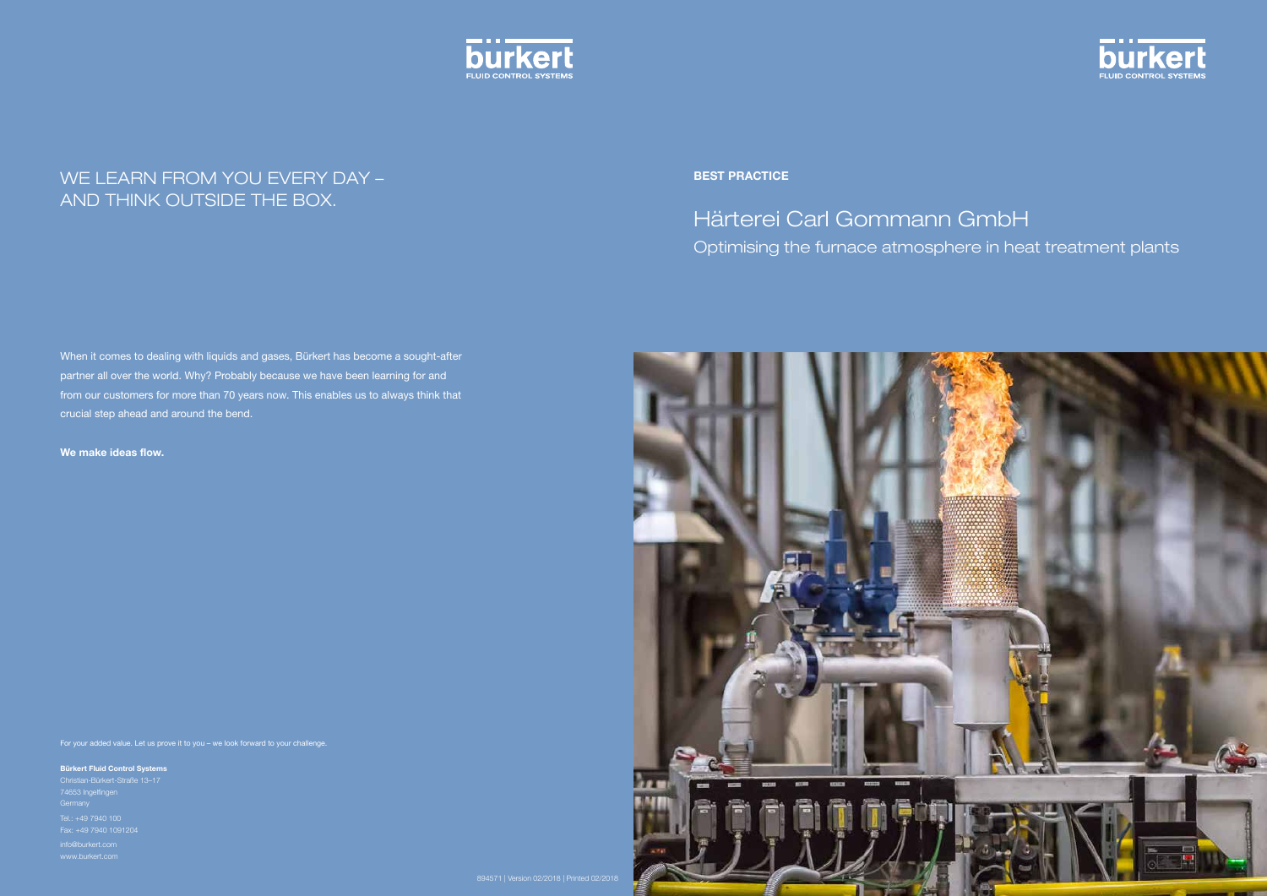# Härterei Carl Gommann GmbH Optimising the furnace atmosphere in heat treatment plants





Best Practice

When it comes to dealing with liquids and gases, Bürkert has become a sought-after partner all over the world. Why? Probably because we have been learning for and from our customers for more than 70 years now. This enables us to always think that crucial step ahead and around the bend.

We make ideas flow.



## WE LEARN FROM YOU EVERY DAY – AND THINK OUTSIDE THE BOX.

For your added value. Let us prove it to you – we look forward to your challenge.

Bürkert Fluid Control Systems

Christian-Bürkert-Straße 13–17

Tel.: +49 7940 100 Fax: +49 7940 1091204

info@burkert.com www.burkert.com